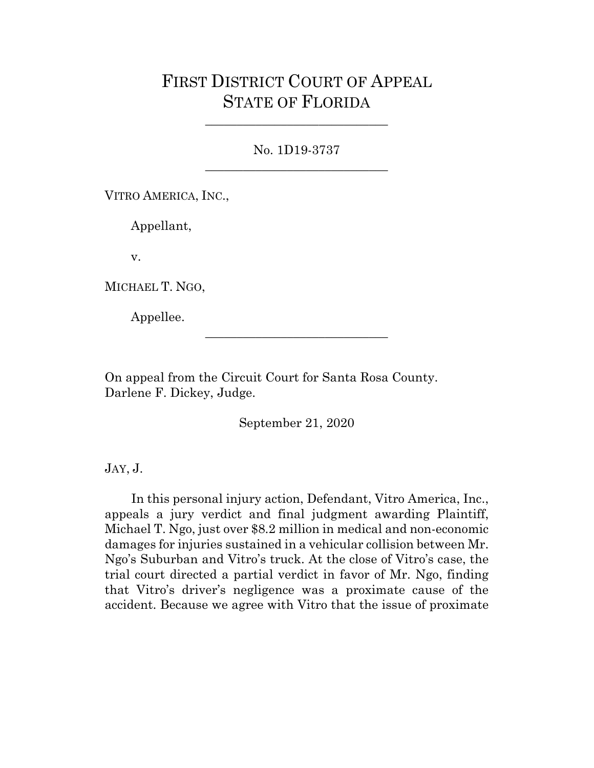# FIRST DISTRICT COURT OF APPEAL STATE OF FLORIDA

No. 1D19-3737 \_\_\_\_\_\_\_\_\_\_\_\_\_\_\_\_\_\_\_\_\_\_\_\_\_\_\_\_\_

\_\_\_\_\_\_\_\_\_\_\_\_\_\_\_\_\_\_\_\_\_\_\_\_\_\_\_\_\_

VITRO AMERICA, INC.,

Appellant,

v.

MICHAEL T. NGO,

Appellee.

On appeal from the Circuit Court for Santa Rosa County. Darlene F. Dickey, Judge.

September 21, 2020

\_\_\_\_\_\_\_\_\_\_\_\_\_\_\_\_\_\_\_\_\_\_\_\_\_\_\_\_\_

JAY, J.

In this personal injury action, Defendant, Vitro America, Inc., appeals a jury verdict and final judgment awarding Plaintiff, Michael T. Ngo, just over \$8.2 million in medical and non-economic damages for injuries sustained in a vehicular collision between Mr. Ngo's Suburban and Vitro's truck. At the close of Vitro's case, the trial court directed a partial verdict in favor of Mr. Ngo, finding that Vitro's driver's negligence was a proximate cause of the accident. Because we agree with Vitro that the issue of proximate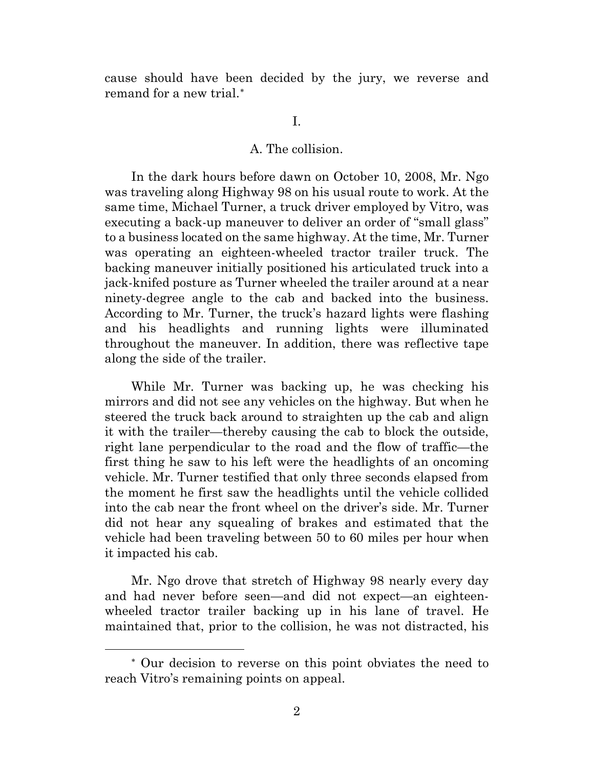cause should have been decided by the jury, we reverse and remand for a new trial.[∗](#page-1-0)

## I.

### A. The collision.

In the dark hours before dawn on October 10, 2008, Mr. Ngo was traveling along Highway 98 on his usual route to work. At the same time, Michael Turner, a truck driver employed by Vitro, was executing a back-up maneuver to deliver an order of "small glass" to a business located on the same highway. At the time, Mr. Turner was operating an eighteen-wheeled tractor trailer truck. The backing maneuver initially positioned his articulated truck into a jack-knifed posture as Turner wheeled the trailer around at a near ninety-degree angle to the cab and backed into the business. According to Mr. Turner, the truck's hazard lights were flashing and his headlights and running lights were illuminated throughout the maneuver. In addition, there was reflective tape along the side of the trailer.

While Mr. Turner was backing up, he was checking his mirrors and did not see any vehicles on the highway. But when he steered the truck back around to straighten up the cab and align it with the trailer—thereby causing the cab to block the outside, right lane perpendicular to the road and the flow of traffic—the first thing he saw to his left were the headlights of an oncoming vehicle. Mr. Turner testified that only three seconds elapsed from the moment he first saw the headlights until the vehicle collided into the cab near the front wheel on the driver's side. Mr. Turner did not hear any squealing of brakes and estimated that the vehicle had been traveling between 50 to 60 miles per hour when it impacted his cab.

Mr. Ngo drove that stretch of Highway 98 nearly every day and had never before seen—and did not expect—an eighteenwheeled tractor trailer backing up in his lane of travel. He maintained that, prior to the collision, he was not distracted, his

<span id="page-1-0"></span><sup>∗</sup> Our decision to reverse on this point obviates the need to reach Vitro's remaining points on appeal.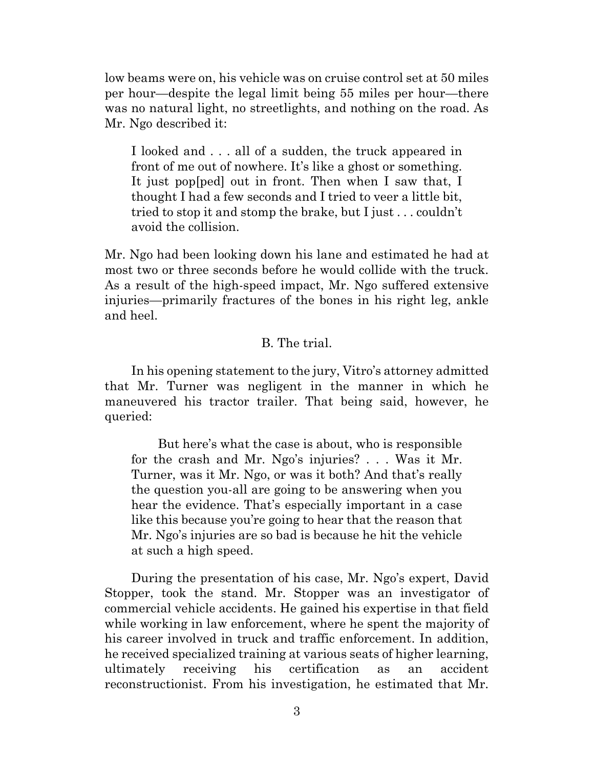low beams were on, his vehicle was on cruise control set at 50 miles per hour—despite the legal limit being 55 miles per hour—there was no natural light, no streetlights, and nothing on the road. As Mr. Ngo described it:

I looked and . . . all of a sudden, the truck appeared in front of me out of nowhere. It's like a ghost or something. It just pop[ped] out in front. Then when I saw that, I thought I had a few seconds and I tried to veer a little bit, tried to stop it and stomp the brake, but I just . . . couldn't avoid the collision.

Mr. Ngo had been looking down his lane and estimated he had at most two or three seconds before he would collide with the truck. As a result of the high-speed impact, Mr. Ngo suffered extensive injuries—primarily fractures of the bones in his right leg, ankle and heel.

## B. The trial.

In his opening statement to the jury, Vitro's attorney admitted that Mr. Turner was negligent in the manner in which he maneuvered his tractor trailer. That being said, however, he queried:

But here's what the case is about, who is responsible for the crash and Mr. Ngo's injuries? . . . Was it Mr. Turner, was it Mr. Ngo, or was it both? And that's really the question you-all are going to be answering when you hear the evidence. That's especially important in a case like this because you're going to hear that the reason that Mr. Ngo's injuries are so bad is because he hit the vehicle at such a high speed.

During the presentation of his case, Mr. Ngo's expert, David Stopper, took the stand. Mr. Stopper was an investigator of commercial vehicle accidents. He gained his expertise in that field while working in law enforcement, where he spent the majority of his career involved in truck and traffic enforcement. In addition, he received specialized training at various seats of higher learning, ultimately receiving his certification as an accident reconstructionist. From his investigation, he estimated that Mr.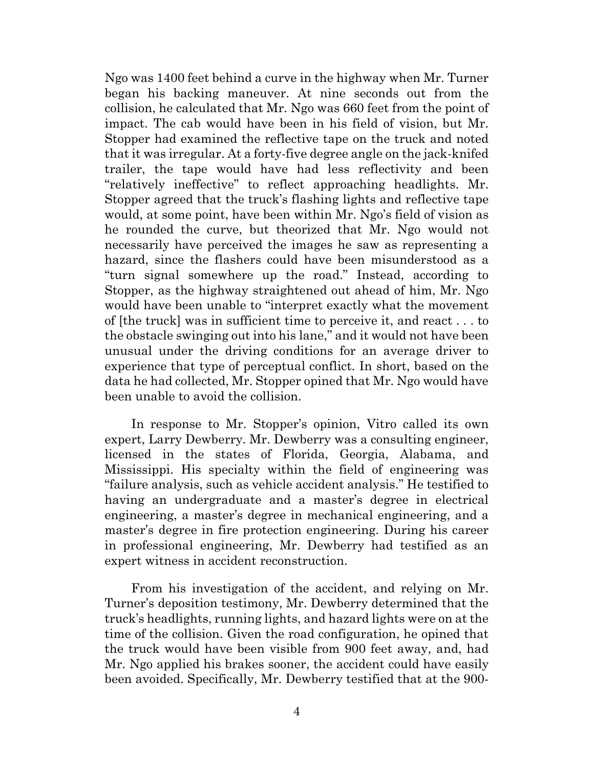Ngo was 1400 feet behind a curve in the highway when Mr. Turner began his backing maneuver. At nine seconds out from the collision, he calculated that Mr. Ngo was 660 feet from the point of impact. The cab would have been in his field of vision, but Mr. Stopper had examined the reflective tape on the truck and noted that it was irregular. At a forty-five degree angle on the jack-knifed trailer, the tape would have had less reflectivity and been "relatively ineffective" to reflect approaching headlights. Mr. Stopper agreed that the truck's flashing lights and reflective tape would, at some point, have been within Mr. Ngo's field of vision as he rounded the curve, but theorized that Mr. Ngo would not necessarily have perceived the images he saw as representing a hazard, since the flashers could have been misunderstood as a "turn signal somewhere up the road." Instead, according to Stopper, as the highway straightened out ahead of him, Mr. Ngo would have been unable to "interpret exactly what the movement of [the truck] was in sufficient time to perceive it, and react . . . to the obstacle swinging out into his lane," and it would not have been unusual under the driving conditions for an average driver to experience that type of perceptual conflict. In short, based on the data he had collected, Mr. Stopper opined that Mr. Ngo would have been unable to avoid the collision.

In response to Mr. Stopper's opinion, Vitro called its own expert, Larry Dewberry. Mr. Dewberry was a consulting engineer, licensed in the states of Florida, Georgia, Alabama, and Mississippi. His specialty within the field of engineering was "failure analysis, such as vehicle accident analysis." He testified to having an undergraduate and a master's degree in electrical engineering, a master's degree in mechanical engineering, and a master's degree in fire protection engineering. During his career in professional engineering, Mr. Dewberry had testified as an expert witness in accident reconstruction.

From his investigation of the accident, and relying on Mr. Turner's deposition testimony, Mr. Dewberry determined that the truck's headlights, running lights, and hazard lights were on at the time of the collision. Given the road configuration, he opined that the truck would have been visible from 900 feet away, and, had Mr. Ngo applied his brakes sooner, the accident could have easily been avoided. Specifically, Mr. Dewberry testified that at the 900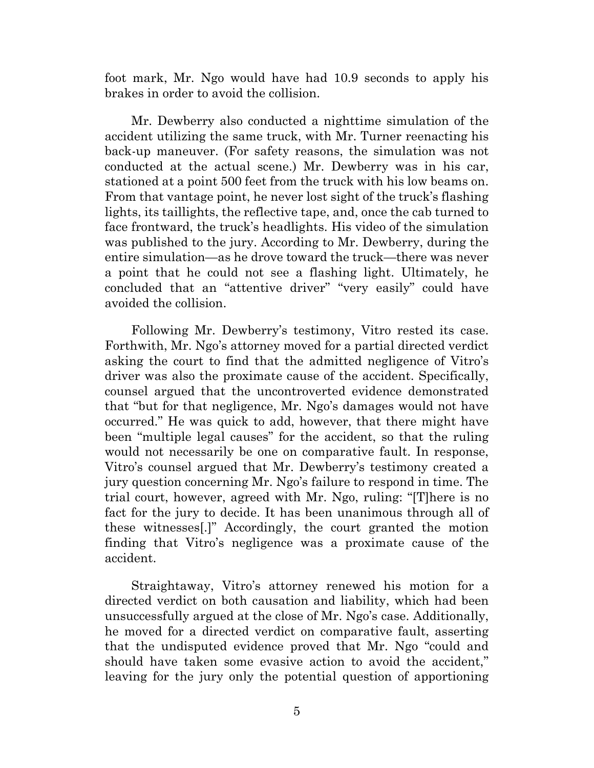foot mark, Mr. Ngo would have had 10.9 seconds to apply his brakes in order to avoid the collision.

Mr. Dewberry also conducted a nighttime simulation of the accident utilizing the same truck, with Mr. Turner reenacting his back-up maneuver. (For safety reasons, the simulation was not conducted at the actual scene.) Mr. Dewberry was in his car, stationed at a point 500 feet from the truck with his low beams on. From that vantage point, he never lost sight of the truck's flashing lights, its taillights, the reflective tape, and, once the cab turned to face frontward, the truck's headlights. His video of the simulation was published to the jury. According to Mr. Dewberry, during the entire simulation—as he drove toward the truck—there was never a point that he could not see a flashing light. Ultimately, he concluded that an "attentive driver" "very easily" could have avoided the collision.

Following Mr. Dewberry's testimony, Vitro rested its case. Forthwith, Mr. Ngo's attorney moved for a partial directed verdict asking the court to find that the admitted negligence of Vitro's driver was also the proximate cause of the accident. Specifically, counsel argued that the uncontroverted evidence demonstrated that "but for that negligence, Mr. Ngo's damages would not have occurred." He was quick to add, however, that there might have been "multiple legal causes" for the accident, so that the ruling would not necessarily be one on comparative fault. In response, Vitro's counsel argued that Mr. Dewberry's testimony created a jury question concerning Mr. Ngo's failure to respond in time. The trial court, however, agreed with Mr. Ngo, ruling: "[T]here is no fact for the jury to decide. It has been unanimous through all of these witnesses[.]" Accordingly, the court granted the motion finding that Vitro's negligence was a proximate cause of the accident.

Straightaway, Vitro's attorney renewed his motion for a directed verdict on both causation and liability, which had been unsuccessfully argued at the close of Mr. Ngo's case. Additionally, he moved for a directed verdict on comparative fault, asserting that the undisputed evidence proved that Mr. Ngo "could and should have taken some evasive action to avoid the accident," leaving for the jury only the potential question of apportioning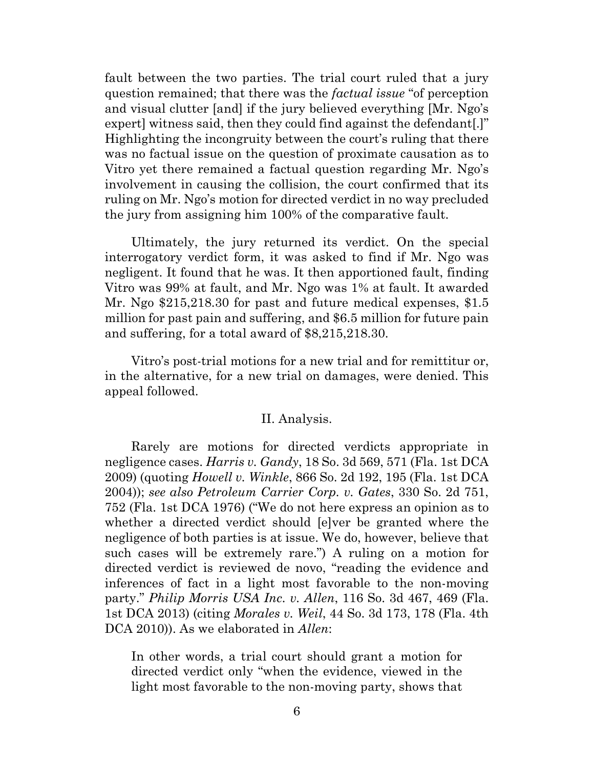fault between the two parties. The trial court ruled that a jury question remained; that there was the *factual issue* "of perception and visual clutter [and] if the jury believed everything [Mr. Ngo's expert] witness said, then they could find against the defendant[.]" Highlighting the incongruity between the court's ruling that there was no factual issue on the question of proximate causation as to Vitro yet there remained a factual question regarding Mr. Ngo's involvement in causing the collision, the court confirmed that its ruling on Mr. Ngo's motion for directed verdict in no way precluded the jury from assigning him 100% of the comparative fault.

Ultimately, the jury returned its verdict. On the special interrogatory verdict form, it was asked to find if Mr. Ngo was negligent. It found that he was. It then apportioned fault, finding Vitro was 99% at fault, and Mr. Ngo was 1% at fault. It awarded Mr. Ngo \$215,218.30 for past and future medical expenses, \$1.5 million for past pain and suffering, and \$6.5 million for future pain and suffering, for a total award of \$8,215,218.30.

Vitro's post-trial motions for a new trial and for remittitur or, in the alternative, for a new trial on damages, were denied. This appeal followed.

### II. Analysis.

Rarely are motions for directed verdicts appropriate in negligence cases. *Harris v. Gandy*, 18 So. 3d 569, 571 (Fla. 1st DCA 2009) (quoting *Howell v. Winkle*, 866 So. 2d 192, 195 (Fla. 1st DCA 2004)); *see also Petroleum Carrier Corp. v. Gates*, 330 So. 2d 751, 752 (Fla. 1st DCA 1976) ("We do not here express an opinion as to whether a directed verdict should [e]ver be granted where the negligence of both parties is at issue. We do, however, believe that such cases will be extremely rare.") A ruling on a motion for directed verdict is reviewed de novo, "reading the evidence and inferences of fact in a light most favorable to the non-moving party." *Philip Morris USA Inc. v. Allen*, 116 So. 3d 467, 469 (Fla. 1st DCA 2013) (citing *Morales v. Weil*, 44 So. 3d 173, 178 (Fla. 4th DCA 2010)). As we elaborated in *Allen*:

In other words, a trial court should grant a motion for directed verdict only "when the evidence, viewed in the light most favorable to the non-moving party, shows that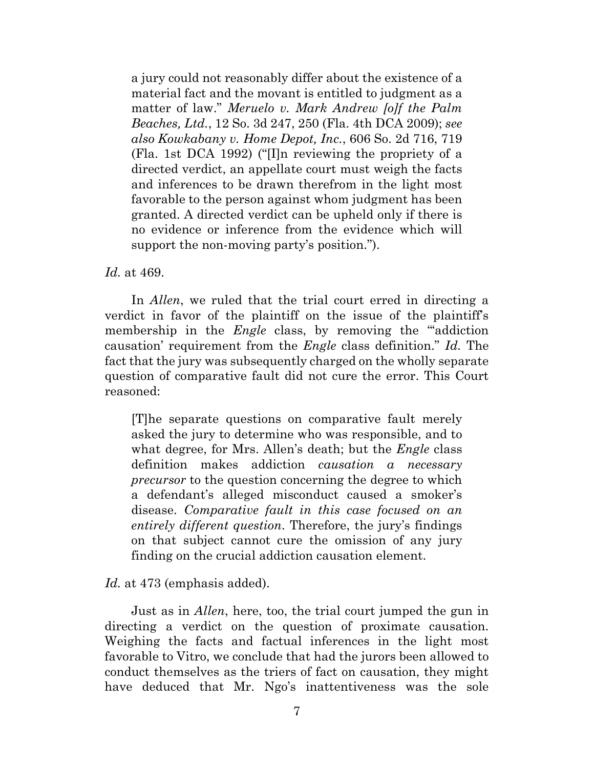a jury could not reasonably differ about the existence of a material fact and the movant is entitled to judgment as a matter of law." *Meruelo v. Mark Andrew [o]f the Palm Beaches, Ltd.*, 12 So. 3d 247, 250 (Fla. 4th DCA 2009); *see also Kowkabany v. Home Depot, Inc.*, 606 So. 2d 716, 719 (Fla. 1st DCA 1992) ("[I]n reviewing the propriety of a directed verdict, an appellate court must weigh the facts and inferences to be drawn therefrom in the light most favorable to the person against whom judgment has been granted. A directed verdict can be upheld only if there is no evidence or inference from the evidence which will support the non-moving party's position.").

*Id.* at 469.

In *Allen*, we ruled that the trial court erred in directing a verdict in favor of the plaintiff on the issue of the plaintiff's membership in the *Engle* class, by removing the "addiction" causation' requirement from the *Engle* class definition." *Id.* The fact that the jury was subsequently charged on the wholly separate question of comparative fault did not cure the error. This Court reasoned:

[T]he separate questions on comparative fault merely asked the jury to determine who was responsible, and to what degree, for Mrs. Allen's death; but the *Engle* class definition makes addiction *causation a necessary precursor* to the question concerning the degree to which a defendant's alleged misconduct caused a smoker's disease. *Comparative fault in this case focused on an entirely different question*. Therefore, the jury's findings on that subject cannot cure the omission of any jury finding on the crucial addiction causation element.

*Id.* at 473 (emphasis added).

Just as in *Allen*, here, too, the trial court jumped the gun in directing a verdict on the question of proximate causation. Weighing the facts and factual inferences in the light most favorable to Vitro, we conclude that had the jurors been allowed to conduct themselves as the triers of fact on causation, they might have deduced that Mr. Ngo's inattentiveness was the sole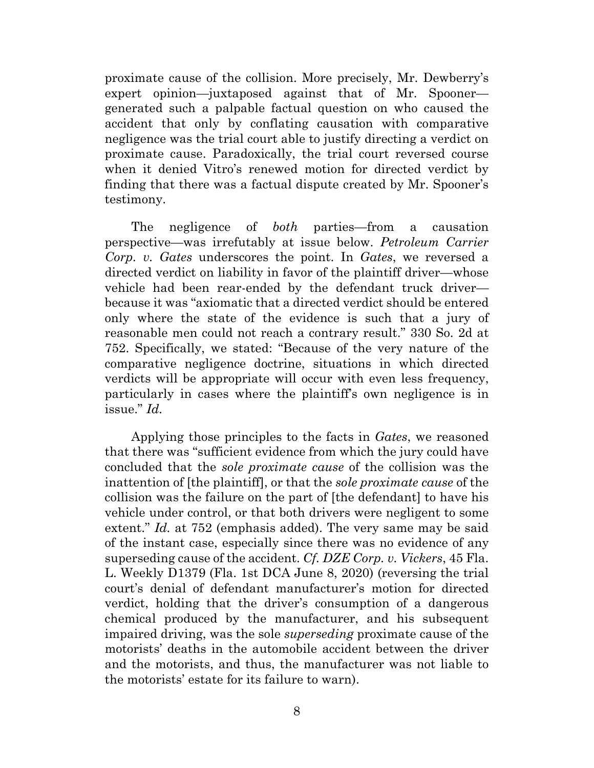proximate cause of the collision. More precisely, Mr. Dewberry's expert opinion—juxtaposed against that of Mr. Spooner generated such a palpable factual question on who caused the accident that only by conflating causation with comparative negligence was the trial court able to justify directing a verdict on proximate cause. Paradoxically, the trial court reversed course when it denied Vitro's renewed motion for directed verdict by finding that there was a factual dispute created by Mr. Spooner's testimony.

The negligence of *both* parties—from a causation perspective—was irrefutably at issue below. *Petroleum Carrier Corp. v. Gates* underscores the point. In *Gates*, we reversed a directed verdict on liability in favor of the plaintiff driver—whose vehicle had been rear-ended by the defendant truck driver because it was "axiomatic that a directed verdict should be entered only where the state of the evidence is such that a jury of reasonable men could not reach a contrary result." 330 So. 2d at 752. Specifically, we stated: "Because of the very nature of the comparative negligence doctrine, situations in which directed verdicts will be appropriate will occur with even less frequency, particularly in cases where the plaintiff's own negligence is in issue." *Id.*

Applying those principles to the facts in *Gates*, we reasoned that there was "sufficient evidence from which the jury could have concluded that the *sole proximate cause* of the collision was the inattention of [the plaintiff], or that the *sole proximate cause* of the collision was the failure on the part of [the defendant] to have his vehicle under control, or that both drivers were negligent to some extent." *Id.* at 752 (emphasis added). The very same may be said of the instant case, especially since there was no evidence of any superseding cause of the accident. *Cf. DZE Corp. v. Vickers*, 45 Fla. L. Weekly D1379 (Fla. 1st DCA June 8, 2020) (reversing the trial court's denial of defendant manufacturer's motion for directed verdict, holding that the driver's consumption of a dangerous chemical produced by the manufacturer, and his subsequent impaired driving, was the sole *superseding* proximate cause of the motorists' deaths in the automobile accident between the driver and the motorists, and thus, the manufacturer was not liable to the motorists' estate for its failure to warn).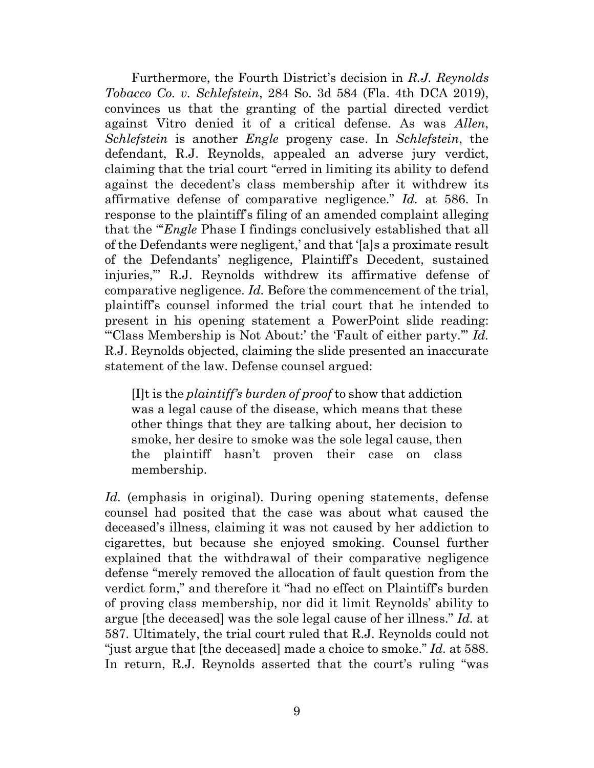Furthermore, the Fourth District's decision in *R.J. Reynolds Tobacco Co. v. Schlefstein*, 284 So. 3d 584 (Fla. 4th DCA 2019), convinces us that the granting of the partial directed verdict against Vitro denied it of a critical defense. As was *Allen*, *Schlefstein* is another *Engle* progeny case. In *Schlefstein*, the defendant, R.J. Reynolds, appealed an adverse jury verdict, claiming that the trial court "erred in limiting its ability to defend against the decedent's class membership after it withdrew its affirmative defense of comparative negligence." *Id.* at 586. In response to the plaintiff's filing of an amended complaint alleging that the "'*Engle* Phase I findings conclusively established that all of the Defendants were negligent,' and that '[a]s a proximate result of the Defendants' negligence, Plaintiff's Decedent, sustained injuries,'" R.J. Reynolds withdrew its affirmative defense of comparative negligence. *Id.* Before the commencement of the trial, plaintiff's counsel informed the trial court that he intended to present in his opening statement a PowerPoint slide reading: "'Class Membership is Not About:' the 'Fault of either party.'" *Id.* R.J. Reynolds objected, claiming the slide presented an inaccurate statement of the law. Defense counsel argued:

[I]t is the *plaintiff's burden of proof* to show that addiction was a legal cause of the disease, which means that these other things that they are talking about, her decision to smoke, her desire to smoke was the sole legal cause, then the plaintiff hasn't proven their case on class membership.

*Id.* (emphasis in original). During opening statements, defense counsel had posited that the case was about what caused the deceased's illness, claiming it was not caused by her addiction to cigarettes, but because she enjoyed smoking. Counsel further explained that the withdrawal of their comparative negligence defense "merely removed the allocation of fault question from the verdict form," and therefore it "had no effect on Plaintiff's burden of proving class membership, nor did it limit Reynolds' ability to argue [the deceased] was the sole legal cause of her illness." *Id.* at 587. Ultimately, the trial court ruled that R.J. Reynolds could not "just argue that [the deceased] made a choice to smoke." *Id.* at 588. In return, R.J. Reynolds asserted that the court's ruling "was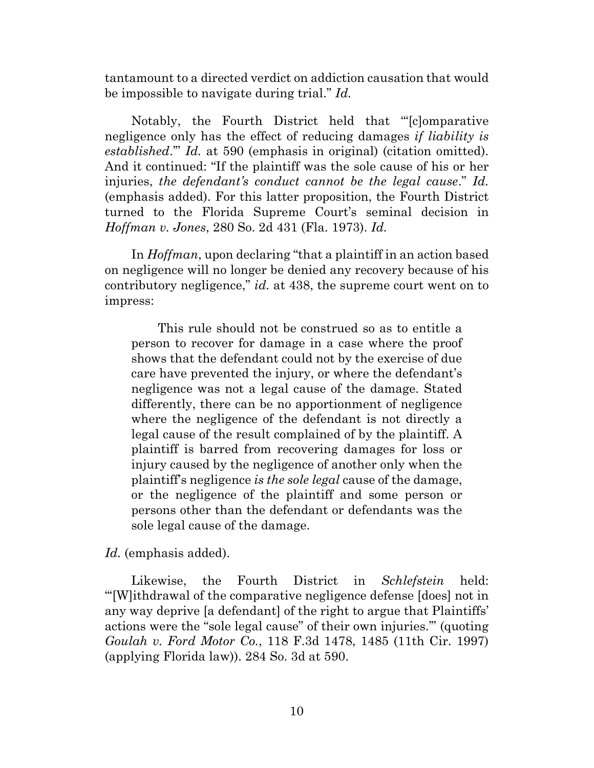tantamount to a directed verdict on addiction causation that would be impossible to navigate during trial." *Id.*

Notably, the Fourth District held that "'[c]omparative negligence only has the effect of reducing damages *if liability is established*.'" *Id.* at 590 (emphasis in original) (citation omitted). And it continued: "If the plaintiff was the sole cause of his or her injuries, *the defendant's conduct cannot be the legal cause*." *Id.* (emphasis added). For this latter proposition, the Fourth District turned to the Florida Supreme Court's seminal decision in *Hoffman v. Jones*, 280 So. 2d 431 (Fla. 1973). *Id.*

In *Hoffman*, upon declaring "that a plaintiff in an action based on negligence will no longer be denied any recovery because of his contributory negligence," *id.* at 438, the supreme court went on to impress:

This rule should not be construed so as to entitle a person to recover for damage in a case where the proof shows that the defendant could not by the exercise of due care have prevented the injury, or where the defendant's negligence was not a legal cause of the damage. Stated differently, there can be no apportionment of negligence where the negligence of the defendant is not directly a legal cause of the result complained of by the plaintiff. A plaintiff is barred from recovering damages for loss or injury caused by the negligence of another only when the plaintiff's negligence *is the sole legal* cause of the damage, or the negligence of the plaintiff and some person or persons other than the defendant or defendants was the sole legal cause of the damage.

*Id.* (emphasis added).

Likewise, the Fourth District in *Schlefstein* held: "'[W]ithdrawal of the comparative negligence defense [does] not in any way deprive [a defendant] of the right to argue that Plaintiffs' actions were the "sole legal cause" of their own injuries.'" (quoting *Goulah v. Ford Motor Co.*, 118 F.3d 1478, 1485 (11th Cir. 1997) (applying Florida law)). 284 So. 3d at 590.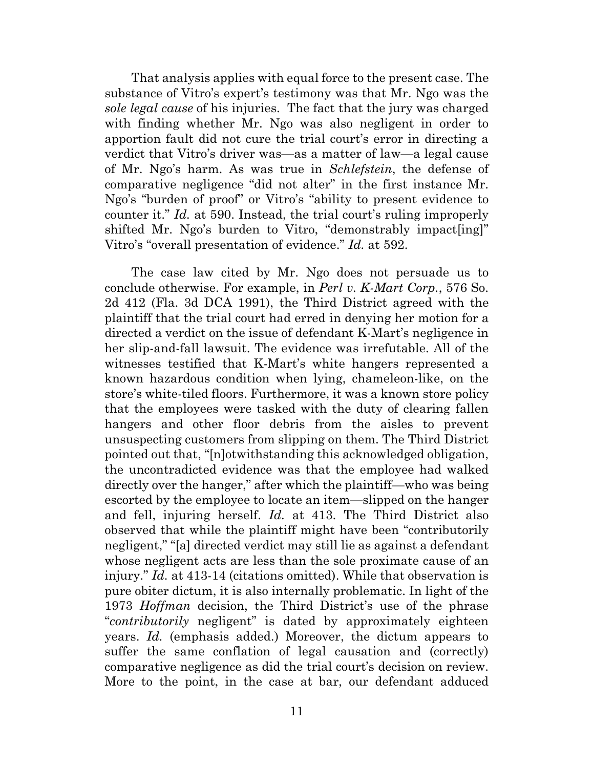That analysis applies with equal force to the present case. The substance of Vitro's expert's testimony was that Mr. Ngo was the *sole legal cause* of his injuries. The fact that the jury was charged with finding whether Mr. Ngo was also negligent in order to apportion fault did not cure the trial court's error in directing a verdict that Vitro's driver was—as a matter of law—a legal cause of Mr. Ngo's harm. As was true in *Schlefstein*, the defense of comparative negligence "did not alter" in the first instance Mr. Ngo's "burden of proof" or Vitro's "ability to present evidence to counter it." *Id.* at 590. Instead, the trial court's ruling improperly shifted Mr. Ngo's burden to Vitro, "demonstrably impact [ing]" Vitro's "overall presentation of evidence." *Id.* at 592.

The case law cited by Mr. Ngo does not persuade us to conclude otherwise. For example, in *Perl v. K-Mart Corp.*, 576 So. 2d 412 (Fla. 3d DCA 1991), the Third District agreed with the plaintiff that the trial court had erred in denying her motion for a directed a verdict on the issue of defendant K-Mart's negligence in her slip-and-fall lawsuit. The evidence was irrefutable. All of the witnesses testified that K-Mart's white hangers represented a known hazardous condition when lying, chameleon-like, on the store's white-tiled floors. Furthermore, it was a known store policy that the employees were tasked with the duty of clearing fallen hangers and other floor debris from the aisles to prevent unsuspecting customers from slipping on them. The Third District pointed out that, "[n]otwithstanding this acknowledged obligation, the uncontradicted evidence was that the employee had walked directly over the hanger," after which the plaintiff—who was being escorted by the employee to locate an item—slipped on the hanger and fell, injuring herself. *Id.* at 413. The Third District also observed that while the plaintiff might have been "contributorily negligent," "[a] directed verdict may still lie as against a defendant whose negligent acts are less than the sole proximate cause of an injury." *Id.* at 413-14 (citations omitted). While that observation is pure obiter dictum, it is also internally problematic. In light of the 1973 *Hoffman* decision, the Third District's use of the phrase "*contributorily* negligent" is dated by approximately eighteen years. *Id.* (emphasis added.) Moreover, the dictum appears to suffer the same conflation of legal causation and (correctly) comparative negligence as did the trial court's decision on review. More to the point, in the case at bar, our defendant adduced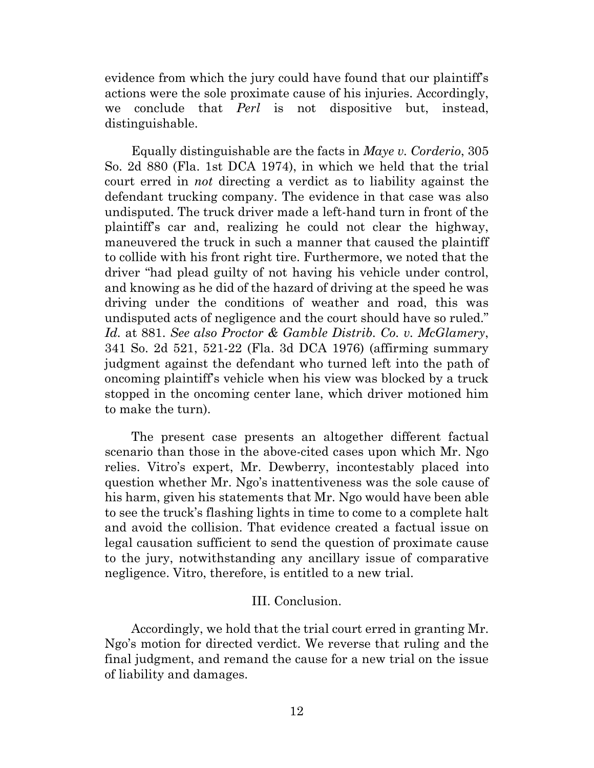evidence from which the jury could have found that our plaintiff's actions were the sole proximate cause of his injuries. Accordingly, we conclude that *Perl* is not dispositive but, instead, distinguishable.

Equally distinguishable are the facts in *Maye v. Corderio*, 305 So. 2d 880 (Fla. 1st DCA 1974), in which we held that the trial court erred in *not* directing a verdict as to liability against the defendant trucking company. The evidence in that case was also undisputed. The truck driver made a left-hand turn in front of the plaintiff's car and, realizing he could not clear the highway, maneuvered the truck in such a manner that caused the plaintiff to collide with his front right tire. Furthermore, we noted that the driver "had plead guilty of not having his vehicle under control, and knowing as he did of the hazard of driving at the speed he was driving under the conditions of weather and road, this was undisputed acts of negligence and the court should have so ruled." *Id.* at 881. *See also Proctor & Gamble Distrib. Co. v. McGlamery*, 341 So. 2d 521, 521-22 (Fla. 3d DCA 1976) (affirming summary judgment against the defendant who turned left into the path of oncoming plaintiff's vehicle when his view was blocked by a truck stopped in the oncoming center lane, which driver motioned him to make the turn).

The present case presents an altogether different factual scenario than those in the above-cited cases upon which Mr. Ngo relies. Vitro's expert, Mr. Dewberry, incontestably placed into question whether Mr. Ngo's inattentiveness was the sole cause of his harm, given his statements that Mr. Ngo would have been able to see the truck's flashing lights in time to come to a complete halt and avoid the collision. That evidence created a factual issue on legal causation sufficient to send the question of proximate cause to the jury, notwithstanding any ancillary issue of comparative negligence. Vitro, therefore, is entitled to a new trial.

## III. Conclusion.

Accordingly, we hold that the trial court erred in granting Mr. Ngo's motion for directed verdict. We reverse that ruling and the final judgment, and remand the cause for a new trial on the issue of liability and damages.